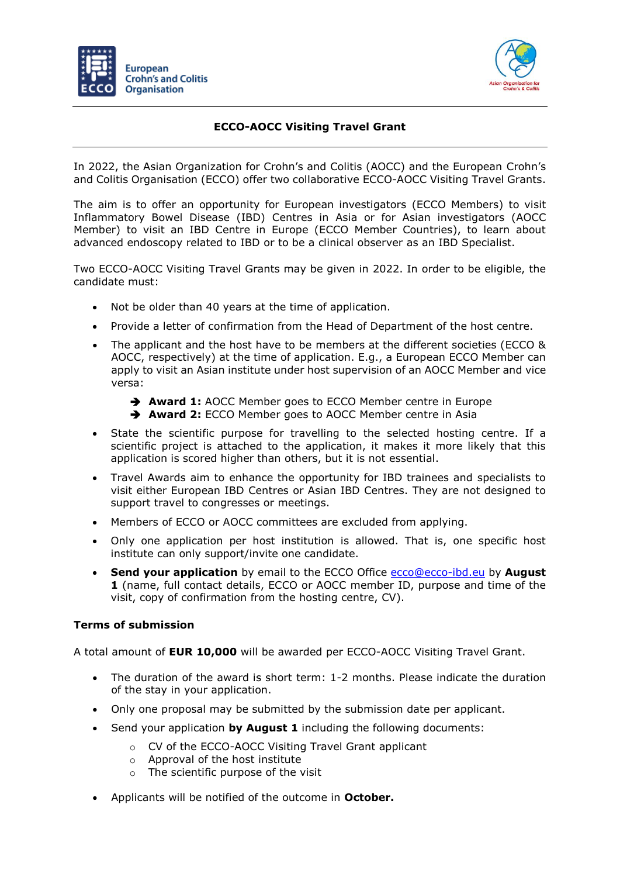



## **ECCO-AOCC Visiting Travel Grant**

In 2022, the Asian Organization for Crohn's and Colitis (AOCC) and the European Crohn's and Colitis Organisation (ECCO) offer two collaborative ECCO-AOCC Visiting Travel Grants.

The aim is to offer an opportunity for European investigators (ECCO Members) to visit Inflammatory Bowel Disease (IBD) Centres in Asia or for Asian investigators (AOCC Member) to visit an IBD Centre in Europe (ECCO Member Countries), to learn about advanced endoscopy related to IBD or to be a clinical observer as an IBD Specialist.

Two ECCO-AOCC Visiting Travel Grants may be given in 2022. In order to be eligible, the candidate must:

- Not be older than 40 years at the time of application.
- Provide a letter of confirmation from the Head of Department of the host centre.
- The applicant and the host have to be members at the different societies (ECCO & AOCC, respectively) at the time of application. E.g., a European ECCO Member can apply to visit an Asian institute under host supervision of an AOCC Member and vice versa:
	- ➔ **Award 1:** AOCC Member goes to ECCO Member centre in Europe
	- ➔ **Award 2:** ECCO Member goes to AOCC Member centre in Asia
- State the scientific purpose for travelling to the selected hosting centre. If a scientific project is attached to the application, it makes it more likely that this application is scored higher than others, but it is not essential.
- Travel Awards aim to enhance the opportunity for IBD trainees and specialists to visit either European IBD Centres or Asian IBD Centres. They are not designed to support travel to congresses or meetings.
- Members of ECCO or AOCC committees are excluded from applying.
- Only one application per host institution is allowed. That is, one specific host institute can only support/invite one candidate.
- **Send your application** by email to the ECCO Office [ecco@ecco-ibd.eu](mailto:ecco@ecco-ibd.eu) by **August 1** (name, full contact details, ECCO or AOCC member ID, purpose and time of the visit, copy of confirmation from the hosting centre, CV).

## **Terms of submission**

A total amount of **EUR 10,000** will be awarded per ECCO-AOCC Visiting Travel Grant.

- The duration of the award is short term: 1-2 months. Please indicate the duration of the stay in your application.
- Only one proposal may be submitted by the submission date per applicant.
- Send your application **by August 1** including the following documents:
	- o CV of the ECCO-AOCC Visiting Travel Grant applicant
	- o Approval of the host institute
	- o The scientific purpose of the visit
- Applicants will be notified of the outcome in **October.**